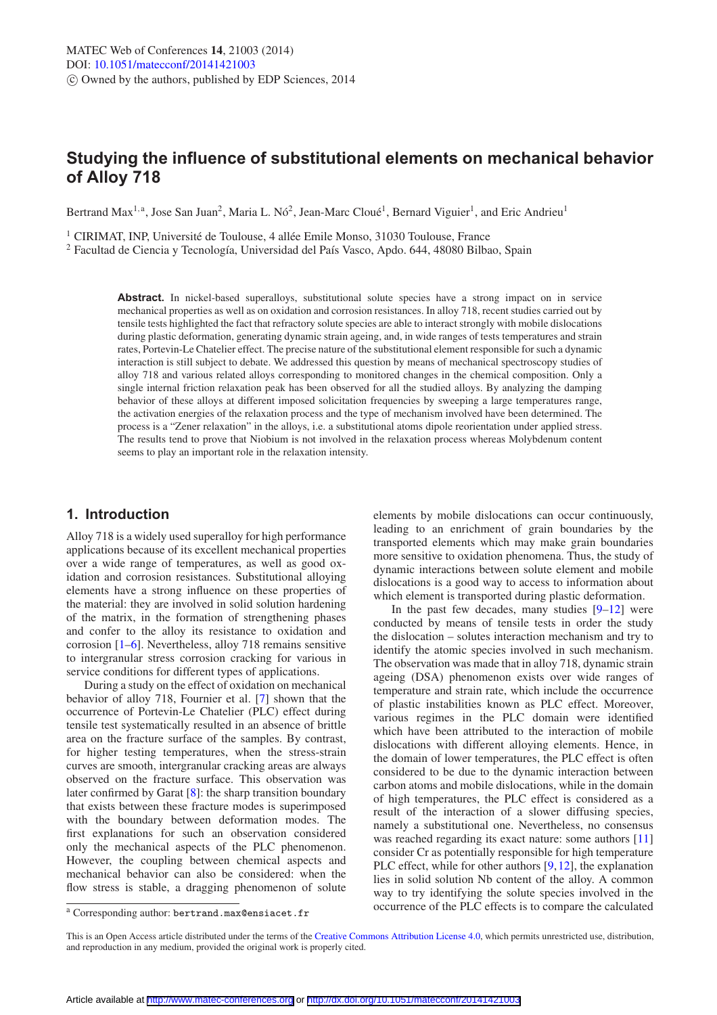# **Studying the influence of substitutional elements on mechanical behavior of Alloy 718**

Bertrand Max<sup>1, a</sup>, Jose San Juan<sup>2</sup>, Maria L. Nó<sup>2</sup>, Jean-Marc Cloué<sup>1</sup>, Bernard Viguier<sup>1</sup>, and Eric Andrieu<sup>1</sup>

<sup>1</sup> CIRIMAT, INP, Université de Toulouse, 4 allée Emile Monso, 31030 Toulouse, France  $2$  Facultad de Ciencia y Tecnología, Universidad del País Vasco, Apdo. 644, 48080 Bilbao, Spain

Abstract. In nickel-based superalloys, substitutional solute species have a strong impact on in service mechanical properties as well as on oxidation and corrosion resistances. In alloy 718, recent studies carried out by tensile tests highlighted the fact that refractory solute species are able to interact strongly with mobile dislocations during plastic deformation, generating dynamic strain ageing, and, in wide ranges of tests temperatures and strain rates, Portevin-Le Chatelier effect. The precise nature of the substitutional element responsible for such a dynamic interaction is still subject to debate. We addressed this question by means of mechanical spectroscopy studies of alloy 718 and various related alloys corresponding to monitored changes in the chemical composition. Only a single internal friction relaxation peak has been observed for all the studied alloys. By analyzing the damping behavior of these alloys at different imposed solicitation frequencies by sweeping a large temperatures range, the activation energies of the relaxation process and the type of mechanism involved have been determined. The process is a "Zener relaxation" in the alloys, i.e. a substitutional atoms dipole reorientation under applied stress. The results tend to prove that Niobium is not involved in the relaxation process whereas Molybdenum content seems to play an important role in the relaxation intensity.

# **1. Introduction**

Alloy 718 is a widely used superalloy for high performance applications because of its excellent mechanical properties over a wide range of temperatures, as well as good oxidation and corrosion resistances. Substitutional alloying elements have a strong influence on these properties of the material: they are involved in solid solution hardening of the matrix, in the formation of strengthening phases and confer to the alloy its resistance to oxidation and corrosion [\[1](#page-5-0)[–6\]](#page-5-1). Nevertheless, alloy 718 remains sensitive to intergranular stress corrosion cracking for various in service conditions for different types of applications.

During a study on the effect of oxidation on mechanical behavior of alloy 718, Fournier et al. [\[7](#page-5-2)] shown that the occurrence of Portevin-Le Chatelier (PLC) effect during tensile test systematically resulted in an absence of brittle area on the fracture surface of the samples. By contrast, for higher testing temperatures, when the stress-strain curves are smooth, intergranular cracking areas are always observed on the fracture surface. This observation was later confirmed by Garat [\[8\]](#page-5-3): the sharp transition boundary that exists between these fracture modes is superimposed with the boundary between deformation modes. The first explanations for such an observation considered only the mechanical aspects of the PLC phenomenon. However, the coupling between chemical aspects and mechanical behavior can also be considered: when the flow stress is stable, a dragging phenomenon of solute

elements by mobile dislocations can occur continuously, leading to an enrichment of grain boundaries by the transported elements which may make grain boundaries more sensitive to oxidation phenomena. Thus, the study of dynamic interactions between solute element and mobile dislocations is a good way to access to information about which element is transported during plastic deformation.

In the past few decades, many studies  $[9-12]$  $[9-12]$  were conducted by means of tensile tests in order the study the dislocation – solutes interaction mechanism and try to identify the atomic species involved in such mechanism. The observation was made that in alloy 718, dynamic strain ageing (DSA) phenomenon exists over wide ranges of temperature and strain rate, which include the occurrence of plastic instabilities known as PLC effect. Moreover, various regimes in the PLC domain were identified which have been attributed to the interaction of mobile dislocations with different alloying elements. Hence, in the domain of lower temperatures, the PLC effect is often considered to be due to the dynamic interaction between carbon atoms and mobile dislocations, while in the domain of high temperatures, the PLC effect is considered as a result of the interaction of a slower diffusing species, namely a substitutional one. Nevertheless, no consensus was reached regarding its exact nature: some authors [\[11\]](#page-5-6) consider Cr as potentially responsible for high temperature PLC effect, while for other authors [\[9,](#page-5-4)[12](#page-5-5)], the explanation lies in solid solution Nb content of the alloy. A common way to try identifying the solute species involved in the occurrence of the PLC effects is to compare the calculated

<sup>a</sup> Corresponding author: bertrand.max@ensiacet.fr

This is an Open Access article distributed under the terms of the [Creative Commons Attribution License 4.0,](http://creativecommons.org/licenses/by/4.0/) which permits unrestricted use, distribution, and reproduction in any medium, provided the original work is properly cited.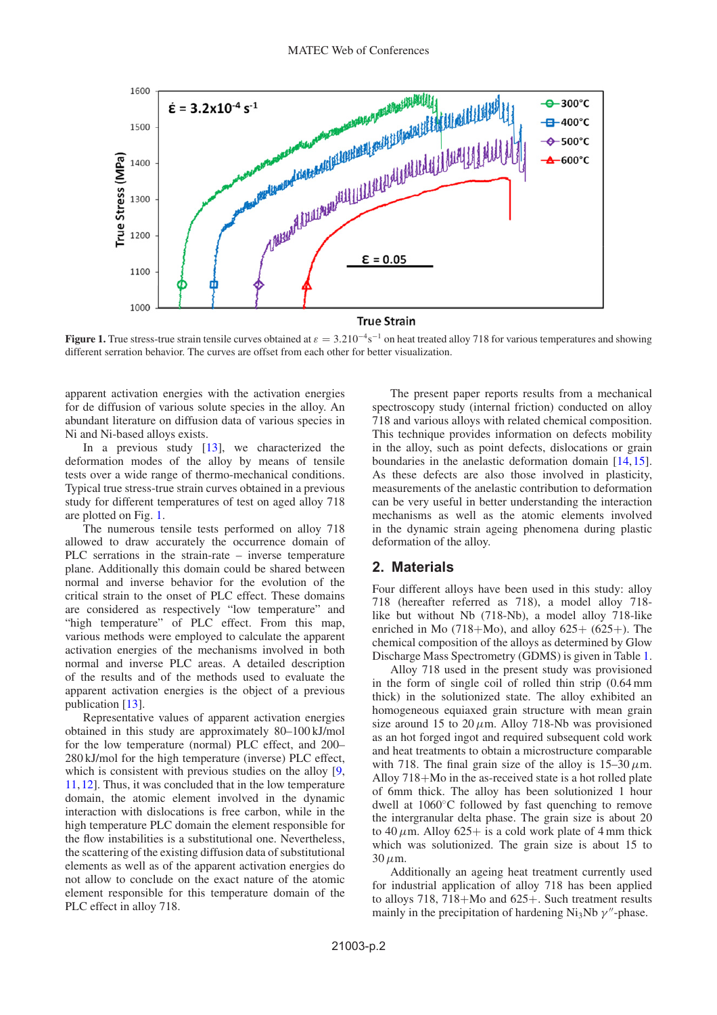

<span id="page-1-0"></span>**Figure 1.** True stress-true strain tensile curves obtained at  $\varepsilon = 3.210^{-4}s^{-1}$  on heat treated alloy 718 for various temperatures and showing different serration behavior. The curves are offset from each other for better visualization.

apparent activation energies with the activation energies for de diffusion of various solute species in the alloy. An abundant literature on diffusion data of various species in Ni and Ni-based alloys exists.

In a previous study [\[13\]](#page-5-7), we characterized the deformation modes of the alloy by means of tensile tests over a wide range of thermo-mechanical conditions. Typical true stress-true strain curves obtained in a previous study for different temperatures of test on aged alloy 718 are plotted on Fig. [1.](#page-1-0)

The numerous tensile tests performed on alloy 718 allowed to draw accurately the occurrence domain of PLC serrations in the strain-rate – inverse temperature plane. Additionally this domain could be shared between normal and inverse behavior for the evolution of the critical strain to the onset of PLC effect. These domains are considered as respectively "low temperature" and "high temperature" of PLC effect. From this map, various methods were employed to calculate the apparent activation energies of the mechanisms involved in both normal and inverse PLC areas. A detailed description of the results and of the methods used to evaluate the apparent activation energies is the object of a previous publication [\[13\]](#page-5-7).

Representative values of apparent activation energies obtained in this study are approximately 80–100 kJ/mol for the low temperature (normal) PLC effect, and 200– 280 kJ/mol for the high temperature (inverse) PLC effect, which is consistent with previous studies on the alloy [\[9,](#page-5-4) [11](#page-5-6),[12](#page-5-5)]. Thus, it was concluded that in the low temperature domain, the atomic element involved in the dynamic interaction with dislocations is free carbon, while in the high temperature PLC domain the element responsible for the flow instabilities is a substitutional one. Nevertheless, the scattering of the existing diffusion data of substitutional elements as well as of the apparent activation energies do not allow to conclude on the exact nature of the atomic element responsible for this temperature domain of the PLC effect in alloy 718.

The present paper reports results from a mechanical spectroscopy study (internal friction) conducted on alloy 718 and various alloys with related chemical composition. This technique provides information on defects mobility in the alloy, such as point defects, dislocations or grain boundaries in the anelastic deformation domain [\[14](#page-5-8)[,15](#page-5-9)]. As these defects are also those involved in plasticity, measurements of the anelastic contribution to deformation can be very useful in better understanding the interaction mechanisms as well as the atomic elements involved in the dynamic strain ageing phenomena during plastic deformation of the alloy.

# **2. Materials**

Four different alloys have been used in this study: alloy 718 (hereafter referred as 718), a model alloy 718 like but without Nb (718-Nb), a model alloy 718-like enriched in Mo  $(718+Mo)$ , and alloy  $625+ (625+)$ . The chemical composition of the alloys as determined by Glow Discharge Mass Spectrometry (GDMS) is given in Table [1.](#page-2-0)

Alloy 718 used in the present study was provisioned in the form of single coil of rolled thin strip (0.64 mm thick) in the solutionized state. The alloy exhibited an homogeneous equiaxed grain structure with mean grain size around 15 to 20  $\mu$ m. Alloy 718-Nb was provisioned as an hot forged ingot and required subsequent cold work and heat treatments to obtain a microstructure comparable with 718. The final grain size of the alloy is  $15-30 \,\mu$ m. Alloy 718+Mo in the as-received state is a hot rolled plate of 6mm thick. The alloy has been solutionized 1 hour dwell at 1060◦C followed by fast quenching to remove the intergranular delta phase. The grain size is about 20 to 40  $\mu$ m. Alloy 625+ is a cold work plate of 4 mm thick which was solutionized. The grain size is about 15 to  $30 \mu m$ .

Additionally an ageing heat treatment currently used for industrial application of alloy 718 has been applied to alloys 718, 718+Mo and 625+. Such treatment results mainly in the precipitation of hardening  $Ni<sub>3</sub>Nb \gamma''$ -phase.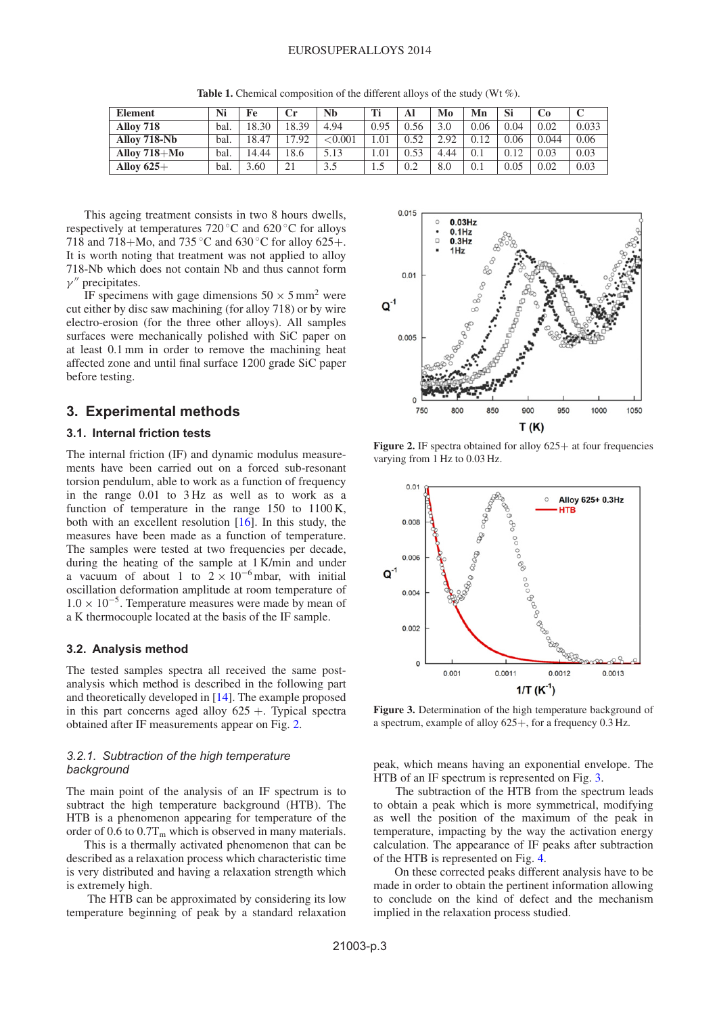<span id="page-2-0"></span>

| <b>Element</b> | Ni   | Fe    |       | Nb         | Ti   | Al          | Mo   | Mn   | Si   |       |       |
|----------------|------|-------|-------|------------|------|-------------|------|------|------|-------|-------|
| Alloy 718      | bal. | 18.30 | 18.39 | 4.94       | 0.95 | <u>J.56</u> | 3.0  | 0.06 | 0.04 | 0.02  | 0.033 |
| Alloy 718-Nb   | bal. | 8.47  | 17.92 | ${<}0.001$ | .01  | 0.52        | 292  | 0.12 | 0.06 | 0.044 | 0.06  |
| Allov 718+Mo   | bal. | 14.44 | !8.6  | 5.13       | .01  | 0.53        | 4.44 | 0.1  | 0.12 | 0.03  | 0.03  |
| Alloy $625+$   | bal. | 3.60  | 21    | 3.5        | 1.5  | 0.2         | 8.0  | 0.1  | 0.05 | 0.02  | 0.03  |

**Table 1.** Chemical composition of the different alloys of the study (Wt %).

This ageing treatment consists in two 8 hours dwells, respectively at temperatures 720 ◦C and 620 ◦C for alloys 718 and 718+Mo, and 735 ◦C and 630 ◦C for alloy 625+. It is worth noting that treatment was not applied to alloy 718-Nb which does not contain Nb and thus cannot form  $\gamma''$  precipitates.

IF specimens with gage dimensions  $50 \times 5$  mm<sup>2</sup> were cut either by disc saw machining (for alloy 718) or by wire electro-erosion (for the three other alloys). All samples surfaces were mechanically polished with SiC paper on at least 0.1 mm in order to remove the machining heat affected zone and until final surface 1200 grade SiC paper before testing.

# **3. Experimental methods**

### **3.1. Internal friction tests**

The internal friction (IF) and dynamic modulus measurements have been carried out on a forced sub-resonant torsion pendulum, able to work as a function of frequency in the range 0.01 to 3 Hz as well as to work as a function of temperature in the range 150 to 1100 K, both with an excellent resolution [\[16\]](#page-5-10). In this study, the measures have been made as a function of temperature. The samples were tested at two frequencies per decade, during the heating of the sample at 1 K/min and under a vacuum of about 1 to  $2 \times 10^{-6}$  mbar, with initial oscillation deformation amplitude at room temperature of  $1.0 \times 10^{-5}$ . Temperature measures were made by mean of a K thermocouple located at the basis of the IF sample.

#### **3.2. Analysis method**

The tested samples spectra all received the same postanalysis which method is described in the following part and theoretically developed in [\[14](#page-5-8)]. The example proposed in this part concerns aged alloy  $625 +$ . Typical spectra obtained after IF measurements appear on Fig. [2.](#page-2-1)

#### *3.2.1. Subtraction of the high temperature background*

The main point of the analysis of an IF spectrum is to subtract the high temperature background (HTB). The HTB is a phenomenon appearing for temperature of the order of 0.6 to  $0.7T_m$  which is observed in many materials.

This is a thermally activated phenomenon that can be described as a relaxation process which characteristic time is very distributed and having a relaxation strength which is extremely high.

The HTB can be approximated by considering its low temperature beginning of peak by a standard relaxation

<span id="page-2-1"></span>

**Figure 2.** IF spectra obtained for alloy 625+ at four frequencies varying from 1 Hz to 0.03 Hz.

<span id="page-2-2"></span>

**Figure 3.** Determination of the high temperature background of a spectrum, example of alloy 625+, for a frequency 0.3 Hz.

peak, which means having an exponential envelope. The HTB of an IF spectrum is represented on Fig. [3.](#page-2-2)

The subtraction of the HTB from the spectrum leads to obtain a peak which is more symmetrical, modifying as well the position of the maximum of the peak in temperature, impacting by the way the activation energy calculation. The appearance of IF peaks after subtraction of the HTB is represented on Fig. [4.](#page-3-0)

On these corrected peaks different analysis have to be made in order to obtain the pertinent information allowing to conclude on the kind of defect and the mechanism implied in the relaxation process studied.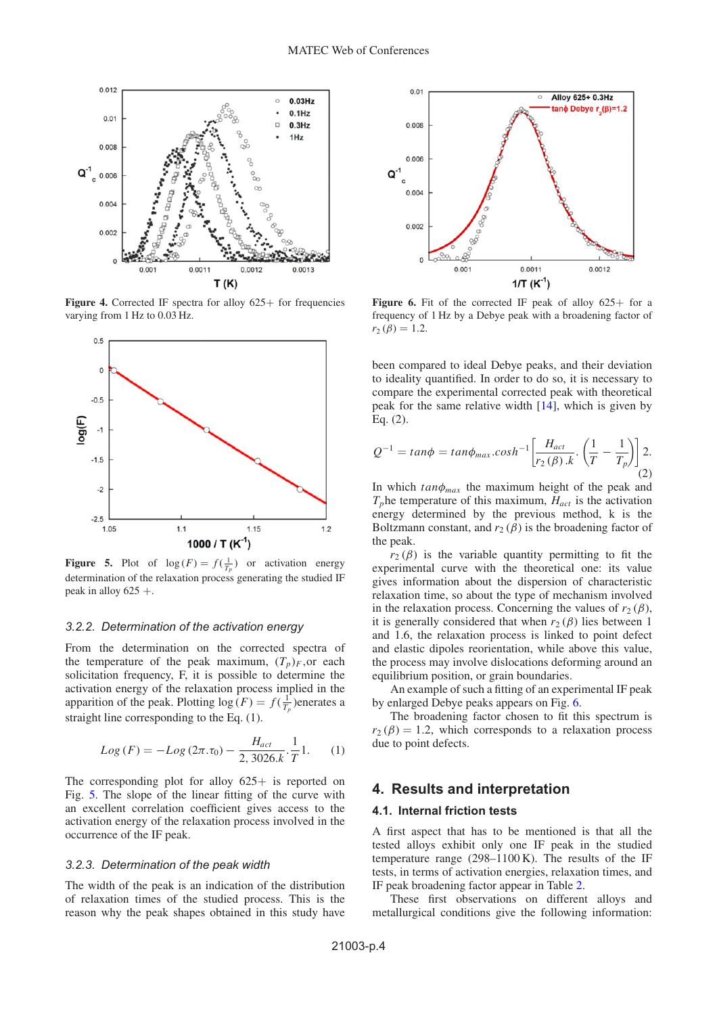<span id="page-3-0"></span>

**Figure 4.** Corrected IF spectra for alloy 625+ for frequencies varying from 1 Hz to 0.03 Hz.

<span id="page-3-1"></span>

**Figure 5.** Plot of  $\log(F) = f(\frac{1}{T_p})$  or activation energy determination of the relaxation process generating the studied IF peak in alloy  $625 +$ .

#### *3.2.2. Determination of the activation energy*

From the determination on the corrected spectra of the temperature of the peak maximum,  $(T_p)_F$ , or each solicitation frequency, F, it is possible to determine the activation energy of the relaxation process implied in the apparition of the peak. Plotting  $\log(F) = f(\frac{1}{T_p})$ enerates a straight line corresponding to the Eq. (1).

$$
Log(F) = -Log(2\pi.\tau_0) - \frac{H_{act}}{2,3026.k} \cdot \frac{1}{T}1.
$$
 (1)

The corresponding plot for alloy  $625+$  is reported on Fig. [5.](#page-3-1) The slope of the linear fitting of the curve with an excellent correlation coefficient gives access to the activation energy of the relaxation process involved in the occurrence of the IF peak.

#### *3.2.3. Determination of the peak width*

The width of the peak is an indication of the distribution of relaxation times of the studied process. This is the reason why the peak shapes obtained in this study have

<span id="page-3-2"></span>

Figure 6. Fit of the corrected IF peak of alloy 625+ for a frequency of 1 Hz by a Debye peak with a broadening factor of  $r_2 (\beta) = 1.2$ .

been compared to ideal Debye peaks, and their deviation to ideality quantified. In order to do so, it is necessary to compare the experimental corrected peak with theoretical peak for the same relative width  $[14]$ , which is given by Eq. (2).

$$
Q^{-1} = \tan\phi = \tan\phi_{\text{max}}.\cosh^{-1}\left[\frac{H_{act}}{r_2(\beta).k}\cdot\left(\frac{1}{T}-\frac{1}{T_p}\right)\right]2.
$$
\n(2)

In which  $tan\phi_{max}$  the maximum height of the peak and  $T_p$ he temperature of this maximum,  $H_{act}$  is the activation energy determined by the previous method, k is the Boltzmann constant, and  $r_2(\beta)$  is the broadening factor of the peak.

 $r_2(\beta)$  is the variable quantity permitting to fit the experimental curve with the theoretical one: its value gives information about the dispersion of characteristic relaxation time, so about the type of mechanism involved in the relaxation process. Concerning the values of  $r_2(\beta)$ , it is generally considered that when  $r_2(\beta)$  lies between 1 and 1.6, the relaxation process is linked to point defect and elastic dipoles reorientation, while above this value, the process may involve dislocations deforming around an equilibrium position, or grain boundaries.

An example of such a fitting of an experimental IF peak by enlarged Debye peaks appears on Fig. [6.](#page-3-2)

The broadening factor chosen to fit this spectrum is  $r_2(\beta) = 1.2$ , which corresponds to a relaxation process due to point defects.

## **4. Results and interpretation**

### **4.1. Internal friction tests**

A first aspect that has to be mentioned is that all the tested alloys exhibit only one IF peak in the studied temperature range (298–1100 K). The results of the IF tests, in terms of activation energies, relaxation times, and IF peak broadening factor appear in Table [2.](#page-4-0)

These first observations on different alloys and metallurgical conditions give the following information: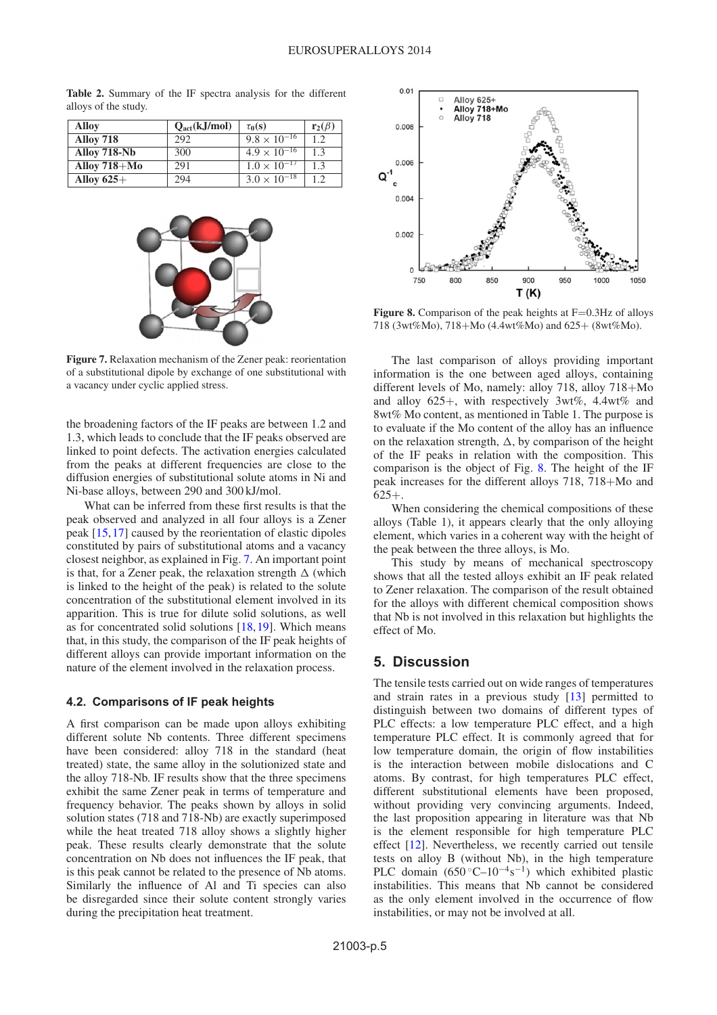<span id="page-4-1"></span>

| Alloy            | $Q_{\text{act}}(kJ/mol)$ | $\tau_0(s)$           | $\mathbf{r}_2(\beta)$ |
|------------------|--------------------------|-----------------------|-----------------------|
| <b>Alloy 718</b> | 292                      | $9.8 \times 10^{-16}$ | 12                    |
| Alloy 718-Nb     | 300                      | $4.9 \times 10^{-16}$ | 13                    |
| Alloy $718 + Mo$ | 291                      | $1.0 \times 10^{-17}$ | 1.3                   |
| Alloy $625+$     | 294                      | $3.0 \times 10^{-18}$ | 12                    |

<span id="page-4-0"></span>**Table 2.** Summary of the IF spectra analysis for the different alloys of the study.



**Figure 7.** Relaxation mechanism of the Zener peak: reorientation of a substitutional dipole by exchange of one substitutional with a vacancy under cyclic applied stress.

the broadening factors of the IF peaks are between 1.2 and 1.3, which leads to conclude that the IF peaks observed are linked to point defects. The activation energies calculated from the peaks at different frequencies are close to the diffusion energies of substitutional solute atoms in Ni and Ni-base alloys, between 290 and 300 kJ/mol.

What can be inferred from these first results is that the peak observed and analyzed in all four alloys is a Zener peak [\[15,](#page-5-9)[17](#page-5-11)] caused by the reorientation of elastic dipoles constituted by pairs of substitutional atoms and a vacancy closest neighbor, as explained in Fig. [7.](#page-4-1) An important point is that, for a Zener peak, the relaxation strength  $\Delta$  (which is linked to the height of the peak) is related to the solute concentration of the substitutional element involved in its apparition. This is true for dilute solid solutions, as well as for concentrated solid solutions  $[18,19]$  $[18,19]$  $[18,19]$ . Which means that, in this study, the comparison of the IF peak heights of different alloys can provide important information on the nature of the element involved in the relaxation process.

#### **4.2. Comparisons of IF peak heights**

A first comparison can be made upon alloys exhibiting different solute Nb contents. Three different specimens have been considered: alloy 718 in the standard (heat treated) state, the same alloy in the solutionized state and the alloy 718-Nb. IF results show that the three specimens exhibit the same Zener peak in terms of temperature and frequency behavior. The peaks shown by alloys in solid solution states (718 and 718-Nb) are exactly superimposed while the heat treated 718 alloy shows a slightly higher peak. These results clearly demonstrate that the solute concentration on Nb does not influences the IF peak, that is this peak cannot be related to the presence of Nb atoms. Similarly the influence of Al and Ti species can also be disregarded since their solute content strongly varies during the precipitation heat treatment.

<span id="page-4-2"></span>

Figure 8. Comparison of the peak heights at F=0.3Hz of alloys 718 (3wt%Mo), 718+Mo (4.4wt%Mo) and 625+ (8wt%Mo).

The last comparison of alloys providing important information is the one between aged alloys, containing different levels of Mo, namely: alloy 718, alloy 718+Mo and alloy 625+, with respectively 3wt%, 4.4wt% and 8wt% Mo content, as mentioned in Table 1. The purpose is to evaluate if the Mo content of the alloy has an influence on the relaxation strength,  $\Delta$ , by comparison of the height of the IF peaks in relation with the composition. This comparison is the object of Fig. [8.](#page-4-2) The height of the IF peak increases for the different alloys 718, 718+Mo and 625+.

When considering the chemical compositions of these alloys (Table 1), it appears clearly that the only alloying element, which varies in a coherent way with the height of the peak between the three alloys, is Mo.

This study by means of mechanical spectroscopy shows that all the tested alloys exhibit an IF peak related to Zener relaxation. The comparison of the result obtained for the alloys with different chemical composition shows that Nb is not involved in this relaxation but highlights the effect of Mo.

# **5. Discussion**

The tensile tests carried out on wide ranges of temperatures and strain rates in a previous study [\[13\]](#page-5-7) permitted to distinguish between two domains of different types of PLC effects: a low temperature PLC effect, and a high temperature PLC effect. It is commonly agreed that for low temperature domain, the origin of flow instabilities is the interaction between mobile dislocations and C atoms. By contrast, for high temperatures PLC effect, different substitutional elements have been proposed, without providing very convincing arguments. Indeed, the last proposition appearing in literature was that Nb is the element responsible for high temperature PLC effect [\[12\]](#page-5-5). Nevertheless, we recently carried out tensile tests on alloy B (without Nb), in the high temperature PLC domain  $(650^{\circ}C-10^{-4}s^{-1})$  which exhibited plastic instabilities. This means that Nb cannot be considered as the only element involved in the occurrence of flow instabilities, or may not be involved at all.